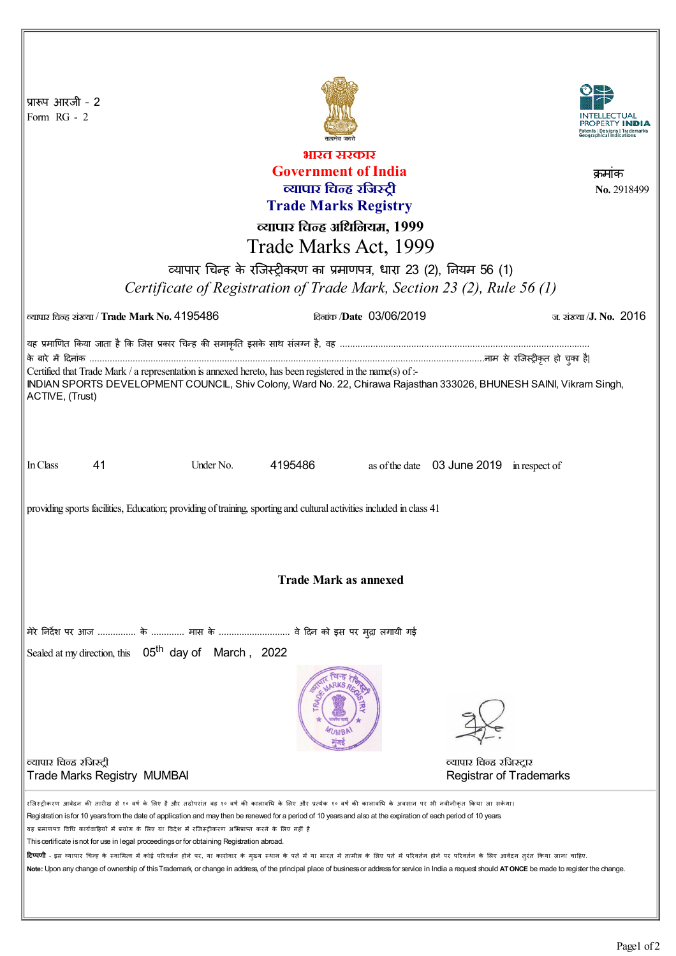| प्रारूप आरजी - 2<br>Form RG - 2                                                                                                                                                                                                                                                                                                                                                                                                                                                                                                                                                                                                                                                                                                                                                                                                                                                                                             |                                               |           |         |                                            |                                                            |                                |
|-----------------------------------------------------------------------------------------------------------------------------------------------------------------------------------------------------------------------------------------------------------------------------------------------------------------------------------------------------------------------------------------------------------------------------------------------------------------------------------------------------------------------------------------------------------------------------------------------------------------------------------------------------------------------------------------------------------------------------------------------------------------------------------------------------------------------------------------------------------------------------------------------------------------------------|-----------------------------------------------|-----------|---------|--------------------------------------------|------------------------------------------------------------|--------------------------------|
| भारत सरकार                                                                                                                                                                                                                                                                                                                                                                                                                                                                                                                                                                                                                                                                                                                                                                                                                                                                                                                  |                                               |           |         |                                            |                                                            |                                |
| <b>Government of India</b><br>क्रमाक                                                                                                                                                                                                                                                                                                                                                                                                                                                                                                                                                                                                                                                                                                                                                                                                                                                                                        |                                               |           |         |                                            |                                                            |                                |
| व्यापार चिन्ह रजिस्ट्री                                                                                                                                                                                                                                                                                                                                                                                                                                                                                                                                                                                                                                                                                                                                                                                                                                                                                                     |                                               |           |         |                                            |                                                            | No. 2918499                    |
| <b>Trade Marks Registry</b>                                                                                                                                                                                                                                                                                                                                                                                                                                                                                                                                                                                                                                                                                                                                                                                                                                                                                                 |                                               |           |         |                                            |                                                            |                                |
| व्यापार चिन्ह अधिनियम, 1999                                                                                                                                                                                                                                                                                                                                                                                                                                                                                                                                                                                                                                                                                                                                                                                                                                                                                                 |                                               |           |         |                                            |                                                            |                                |
| Trade Marks Act, 1999                                                                                                                                                                                                                                                                                                                                                                                                                                                                                                                                                                                                                                                                                                                                                                                                                                                                                                       |                                               |           |         |                                            |                                                            |                                |
| व्यापार चिन्ह के रजिस्ट्रीकरण का प्रमाणपत्र, धारा 23 (2), नियम 56 (1)                                                                                                                                                                                                                                                                                                                                                                                                                                                                                                                                                                                                                                                                                                                                                                                                                                                       |                                               |           |         |                                            |                                                            |                                |
|                                                                                                                                                                                                                                                                                                                                                                                                                                                                                                                                                                                                                                                                                                                                                                                                                                                                                                                             |                                               |           |         |                                            |                                                            |                                |
| Certificate of Registration of Trade Mark, Section 23 (2), Rule 56 (1)                                                                                                                                                                                                                                                                                                                                                                                                                                                                                                                                                                                                                                                                                                                                                                                                                                                      |                                               |           |         |                                            |                                                            |                                |
|                                                                                                                                                                                                                                                                                                                                                                                                                                                                                                                                                                                                                                                                                                                                                                                                                                                                                                                             | ल्यापार चिन्ह संख्या / Trade Mark No. 4195486 |           |         | <del>கேர்சு</del> / <b>Date 03/06/2019</b> |                                                            | ज. संख्या / <b>J. No. 2016</b> |
| यह प्रमाणित किया जाता है कि जिस प्रकार चिन्ह की समाकृति इसके साथ संलग्न है, वह …………………………………………………………………………………                                                                                                                                                                                                                                                                                                                                                                                                                                                                                                                                                                                                                                                                                                                                                                                                              |                                               |           |         |                                            |                                                            |                                |
| Certified that Trade Mark / a representation is annexed hereto, has been registered in the name(s) of :-                                                                                                                                                                                                                                                                                                                                                                                                                                                                                                                                                                                                                                                                                                                                                                                                                    |                                               |           |         |                                            |                                                            |                                |
| INDIAN SPORTS DEVELOPMENT COUNCIL, Shiv Colony, Ward No. 22, Chirawa Rajasthan 333026, BHUNESH SAINI, Vikram Singh,<br>ACTIVE, (Trust)                                                                                                                                                                                                                                                                                                                                                                                                                                                                                                                                                                                                                                                                                                                                                                                      |                                               |           |         |                                            |                                                            |                                |
| In Class                                                                                                                                                                                                                                                                                                                                                                                                                                                                                                                                                                                                                                                                                                                                                                                                                                                                                                                    | 41                                            | Under No. | 4195486 |                                            | as of the date 03 June 2019 in respect of                  |                                |
| providing sports facilities, Education; providing of training, sporting and cultural activities included in class 41                                                                                                                                                                                                                                                                                                                                                                                                                                                                                                                                                                                                                                                                                                                                                                                                        |                                               |           |         |                                            |                                                            |                                |
| <b>Trade Mark as annexed</b>                                                                                                                                                                                                                                                                                                                                                                                                                                                                                                                                                                                                                                                                                                                                                                                                                                                                                                |                                               |           |         |                                            |                                                            |                                |
| मेरे निर्देश पर आज  के  मास के  वे दिन को इस पर मुद्रा लगायी गई                                                                                                                                                                                                                                                                                                                                                                                                                                                                                                                                                                                                                                                                                                                                                                                                                                                             |                                               |           |         |                                            |                                                            |                                |
| Sealed at my direction, this 05 <sup>th</sup> day of March, 2022                                                                                                                                                                                                                                                                                                                                                                                                                                                                                                                                                                                                                                                                                                                                                                                                                                                            |                                               |           |         |                                            |                                                            |                                |
| व्यापार चिन्ह रजिस्ट्री                                                                                                                                                                                                                                                                                                                                                                                                                                                                                                                                                                                                                                                                                                                                                                                                                                                                                                     | <b>Trade Marks Registry MUMBAI</b>            |           |         |                                            | व्यापार चिन्ह रजिस्ट्रार<br><b>Registrar of Trademarks</b> |                                |
| रजिस्ट्रीकरण आवेदन की तारीख से १० वर्ष के लिए है और तदोपरांत वह १० वर्ष की कालावधि के परि पर बैंकी कालावधि के अवसान पर भी नवीनीकृत किया जा सकेगा।<br>Registration is for 10 years from the date of application and may then be renewed for a period of 10 years and also at the expiration of each period of 10 years.<br>यह प्रमाणपत्र विधि कार्यवाहियों में प्रयोग के लिए या विदेश में रजिस्ट्रीकरण अभिप्राप्त करने के लिए नहीं है<br>This certificate is not for use in legal proceedings or for obtaining Registration abroad.<br><b>टिप्पणी</b> - इस व्यापार चिन्ह के स्वामित्व में कोई परिवर्तन होने पर, या कारोवार के मुख्य स्थान के पास में परिवर्तन होने पर परिवर्तन के लिए आवेदन तुरंत किया जाना चाहिए.<br>Note: Upon any change of ownership of this Trademark, or change in address, of the principal place of business or address for service in India a request should ATONCE be made to register the change. |                                               |           |         |                                            |                                                            |                                |
|                                                                                                                                                                                                                                                                                                                                                                                                                                                                                                                                                                                                                                                                                                                                                                                                                                                                                                                             |                                               |           |         |                                            |                                                            |                                |